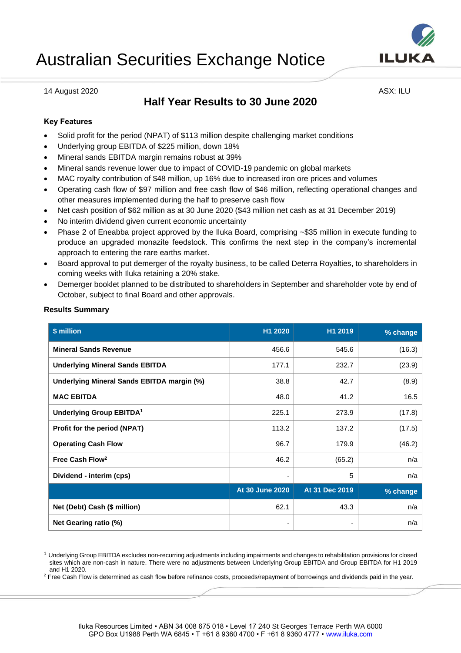

14 August 2020 **ASX: ILU** 

# **Half Year Results to 30 June 2020**

# **Key Features**

- Solid profit for the period (NPAT) of \$113 million despite challenging market conditions
- Underlying group EBITDA of \$225 million, down 18%
- Mineral sands EBITDA margin remains robust at 39%
- Mineral sands revenue lower due to impact of COVID-19 pandemic on global markets
- MAC royalty contribution of \$48 million, up 16% due to increased iron ore prices and volumes
- Operating cash flow of \$97 million and free cash flow of \$46 million, reflecting operational changes and other measures implemented during the half to preserve cash flow
- Net cash position of \$62 million as at 30 June 2020 (\$43 million net cash as at 31 December 2019)
- No interim dividend given current economic uncertainty
- Phase 2 of Eneabba project approved by the Iluka Board, comprising ~\$35 million in execute funding to produce an upgraded monazite feedstock. This confirms the next step in the company's incremental approach to entering the rare earths market.
- Board approval to put demerger of the royalty business, to be called Deterra Royalties, to shareholders in coming weeks with Iluka retaining a 20% stake.
- Demerger booklet planned to be distributed to shareholders in September and shareholder vote by end of October, subject to final Board and other approvals.

| \$ million                                 | H1 2020         | H1 2019        | % change |
|--------------------------------------------|-----------------|----------------|----------|
| <b>Mineral Sands Revenue</b>               | 456.6           | 545.6          | (16.3)   |
| <b>Underlying Mineral Sands EBITDA</b>     | 177.1           | 232.7          | (23.9)   |
| Underlying Mineral Sands EBITDA margin (%) | 38.8            | 42.7           | (8.9)    |
| <b>MAC EBITDA</b>                          | 48.0            | 41.2           | 16.5     |
| Underlying Group EBITDA <sup>1</sup>       | 225.1           | 273.9          | (17.8)   |
| Profit for the period (NPAT)               | 113.2           | 137.2          | (17.5)   |
| <b>Operating Cash Flow</b>                 | 96.7            | 179.9          | (46.2)   |
| Free Cash Flow <sup>2</sup>                | 46.2            | (65.2)         | n/a      |
| Dividend - interim (cps)                   |                 | 5              | n/a      |
|                                            | At 30 June 2020 | At 31 Dec 2019 | % change |
| Net (Debt) Cash (\$ million)               | 62.1            | 43.3           | n/a      |
| Net Gearing ratio (%)                      | ٠               |                | n/a      |

# **Results Summary**

<sup>1</sup> Underlying Group EBITDA excludes non-recurring adjustments including impairments and changes to rehabilitation provisions for closed sites which are non-cash in nature. There were no adjustments between Underlying Group EBITDA and Group EBITDA for H1 2019 and H1 2020.

<sup>&</sup>lt;sup>2</sup> Free Cash Flow is determined as cash flow before refinance costs, proceeds/repayment of borrowings and dividends paid in the year.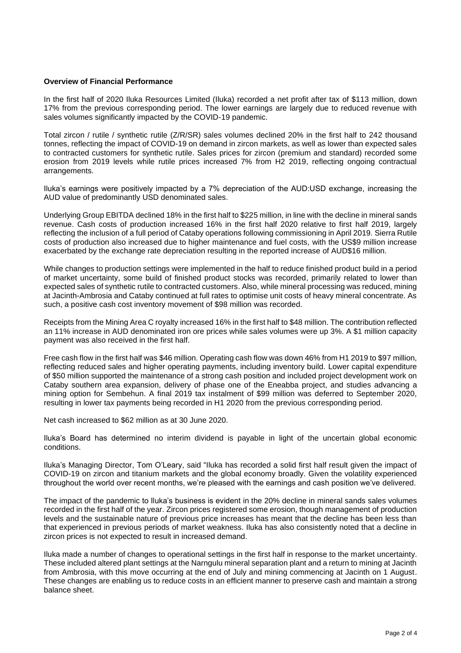# **Overview of Financial Performance**

In the first half of 2020 Iluka Resources Limited (Iluka) recorded a net profit after tax of \$113 million, down 17% from the previous corresponding period. The lower earnings are largely due to reduced revenue with sales volumes significantly impacted by the COVID-19 pandemic.

Total zircon / rutile / synthetic rutile (Z/R/SR) sales volumes declined 20% in the first half to 242 thousand tonnes, reflecting the impact of COVID-19 on demand in zircon markets, as well as lower than expected sales to contracted customers for synthetic rutile. Sales prices for zircon (premium and standard) recorded some erosion from 2019 levels while rutile prices increased 7% from H2 2019, reflecting ongoing contractual arrangements.

Iluka's earnings were positively impacted by a 7% depreciation of the AUD:USD exchange, increasing the AUD value of predominantly USD denominated sales.

Underlying Group EBITDA declined 18% in the first half to \$225 million, in line with the decline in mineral sands revenue. Cash costs of production increased 16% in the first half 2020 relative to first half 2019, largely reflecting the inclusion of a full period of Cataby operations following commissioning in April 2019. Sierra Rutile costs of production also increased due to higher maintenance and fuel costs, with the US\$9 million increase exacerbated by the exchange rate depreciation resulting in the reported increase of AUD\$16 million.

While changes to production settings were implemented in the half to reduce finished product build in a period of market uncertainty, some build of finished product stocks was recorded, primarily related to lower than expected sales of synthetic rutile to contracted customers. Also, while mineral processing was reduced, mining at Jacinth-Ambrosia and Cataby continued at full rates to optimise unit costs of heavy mineral concentrate. As such, a positive cash cost inventory movement of \$98 million was recorded.

Receipts from the Mining Area C royalty increased 16% in the first half to \$48 million. The contribution reflected an 11% increase in AUD denominated iron ore prices while sales volumes were up 3%. A \$1 million capacity payment was also received in the first half.

Free cash flow in the first half was \$46 million. Operating cash flow was down 46% from H1 2019 to \$97 million, reflecting reduced sales and higher operating payments, including inventory build. Lower capital expenditure of \$50 million supported the maintenance of a strong cash position and included project development work on Cataby southern area expansion, delivery of phase one of the Eneabba project, and studies advancing a mining option for Sembehun. A final 2019 tax instalment of \$99 million was deferred to September 2020, resulting in lower tax payments being recorded in H1 2020 from the previous corresponding period.

Net cash increased to \$62 million as at 30 June 2020.

Iluka's Board has determined no interim dividend is payable in light of the uncertain global economic conditions.

Iluka's Managing Director, Tom O'Leary, said "Iluka has recorded a solid first half result given the impact of COVID-19 on zircon and titanium markets and the global economy broadly. Given the volatility experienced throughout the world over recent months, we're pleased with the earnings and cash position we've delivered.

The impact of the pandemic to Iluka's business is evident in the 20% decline in mineral sands sales volumes recorded in the first half of the year. Zircon prices registered some erosion, though management of production levels and the sustainable nature of previous price increases has meant that the decline has been less than that experienced in previous periods of market weakness. Iluka has also consistently noted that a decline in zircon prices is not expected to result in increased demand.

Iluka made a number of changes to operational settings in the first half in response to the market uncertainty. These included altered plant settings at the Narngulu mineral separation plant and a return to mining at Jacinth from Ambrosia, with this move occurring at the end of July and mining commencing at Jacinth on 1 August. These changes are enabling us to reduce costs in an efficient manner to preserve cash and maintain a strong balance sheet.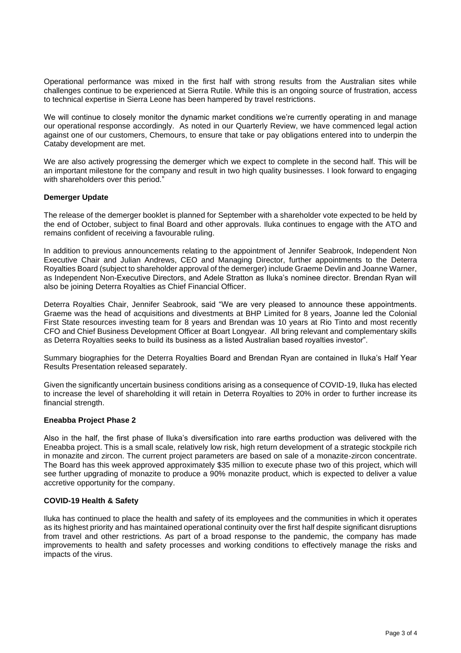Operational performance was mixed in the first half with strong results from the Australian sites while challenges continue to be experienced at Sierra Rutile. While this is an ongoing source of frustration, access to technical expertise in Sierra Leone has been hampered by travel restrictions.

We will continue to closely monitor the dynamic market conditions we're currently operating in and manage our operational response accordingly. As noted in our Quarterly Review, we have commenced legal action against one of our customers, Chemours, to ensure that take or pay obligations entered into to underpin the Cataby development are met.

We are also actively progressing the demerger which we expect to complete in the second half. This will be an important milestone for the company and result in two high quality businesses. I look forward to engaging with shareholders over this period."

# **Demerger Update**

The release of the demerger booklet is planned for September with a shareholder vote expected to be held by the end of October, subject to final Board and other approvals. Iluka continues to engage with the ATO and remains confident of receiving a favourable ruling.

In addition to previous announcements relating to the appointment of Jennifer Seabrook, Independent Non Executive Chair and Julian Andrews, CEO and Managing Director, further appointments to the Deterra Royalties Board (subject to shareholder approval of the demerger) include Graeme Devlin and Joanne Warner, as Independent Non-Executive Directors, and Adele Stratton as Iluka's nominee director. Brendan Ryan will also be joining Deterra Royalties as Chief Financial Officer.

Deterra Royalties Chair, Jennifer Seabrook, said "We are very pleased to announce these appointments. Graeme was the head of acquisitions and divestments at BHP Limited for 8 years, Joanne led the Colonial First State resources investing team for 8 years and Brendan was 10 years at Rio Tinto and most recently CFO and Chief Business Development Officer at Boart Longyear. All bring relevant and complementary skills as Deterra Royalties seeks to build its business as a listed Australian based royalties investor".

Summary biographies for the Deterra Royalties Board and Brendan Ryan are contained in Iluka's Half Year Results Presentation released separately.

Given the significantly uncertain business conditions arising as a consequence of COVID-19, Iluka has elected to increase the level of shareholding it will retain in Deterra Royalties to 20% in order to further increase its financial strength.

# **Eneabba Project Phase 2**

Also in the half, the first phase of Iluka's diversification into rare earths production was delivered with the Eneabba project. This is a small scale, relatively low risk, high return development of a strategic stockpile rich in monazite and zircon. The current project parameters are based on sale of a monazite-zircon concentrate. The Board has this week approved approximately \$35 million to execute phase two of this project, which will see further upgrading of monazite to produce a 90% monazite product, which is expected to deliver a value accretive opportunity for the company.

#### **COVID-19 Health & Safety**

Iluka has continued to place the health and safety of its employees and the communities in which it operates as its highest priority and has maintained operational continuity over the first half despite significant disruptions from travel and other restrictions. As part of a broad response to the pandemic, the company has made improvements to health and safety processes and working conditions to effectively manage the risks and impacts of the virus.